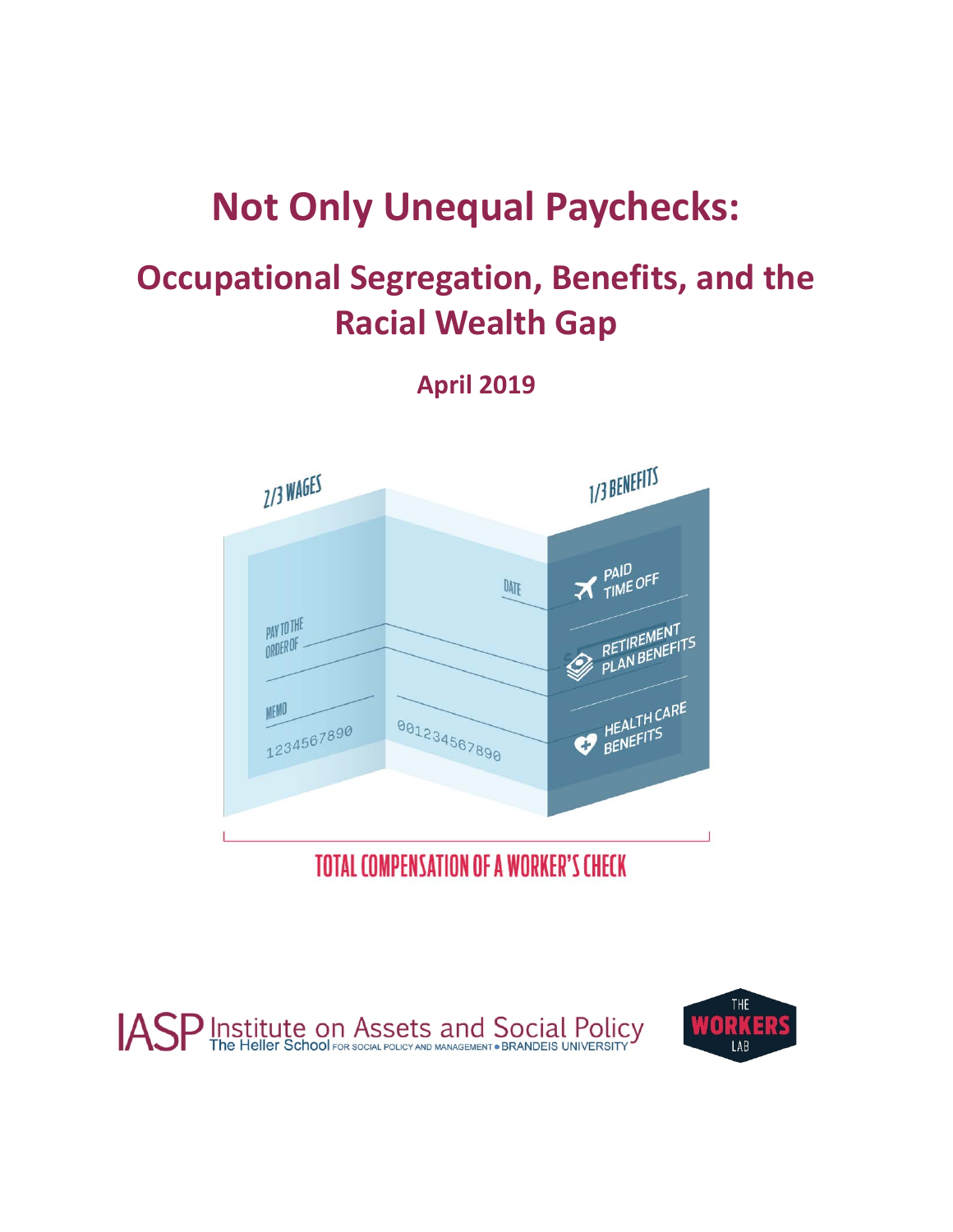# **Not Only Unequal Paychecks:**

# **Occupational Segregation, Benefits, and the Racial Wealth Gap**

**April 2019**



**TOTAL COMPENSATION OF A WORKER'S CHECK** 



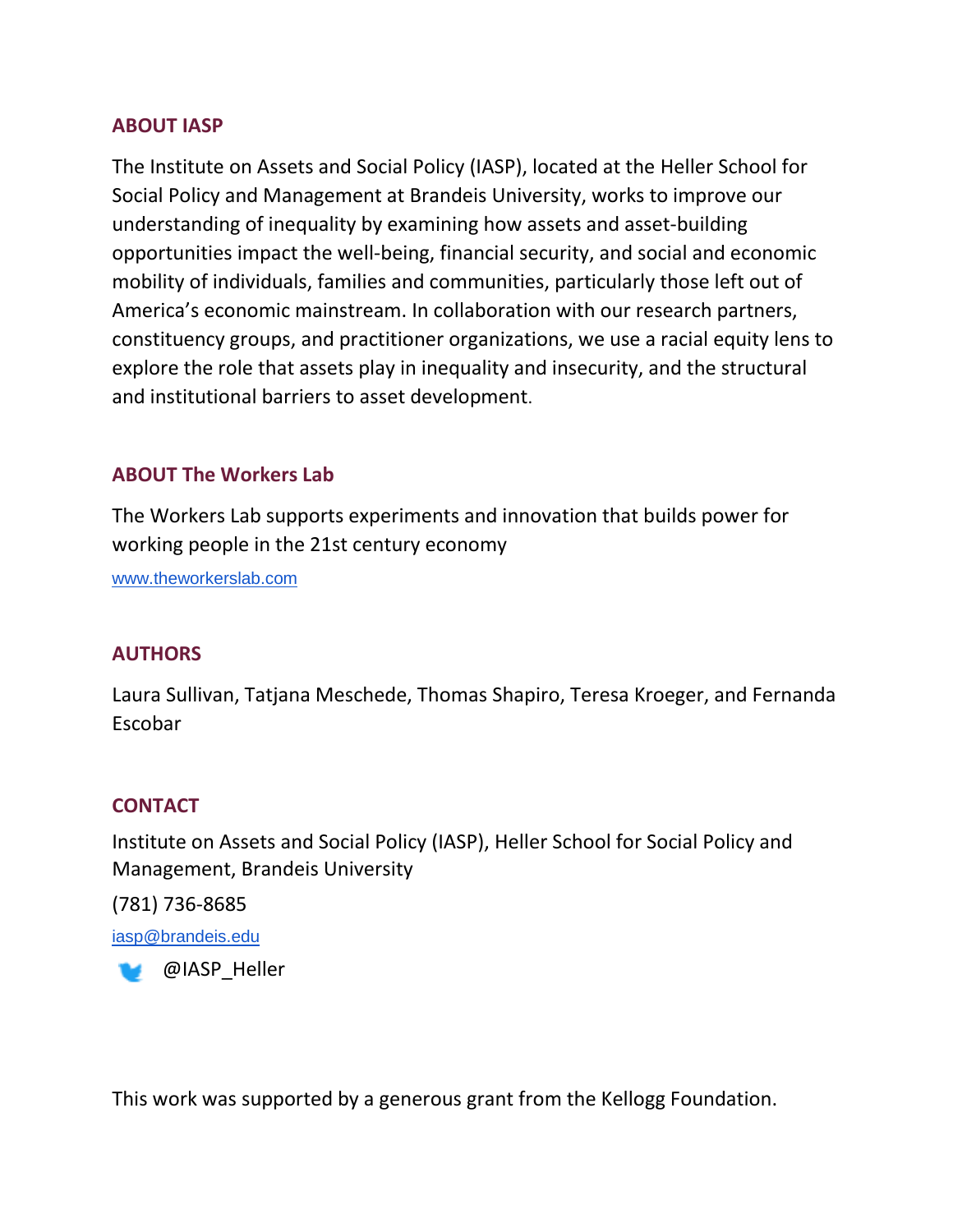### **ABOUT IASP**

The Institute on Assets and Social Policy (IASP), located at the Heller School for Social Policy and Management at Brandeis University, works to improve our understanding of inequality by examining how assets and asset-building opportunities impact the well-being, financial security, and social and economic mobility of individuals, families and communities, particularly those left out of America's economic mainstream. In collaboration with our research partners, constituency groups, and practitioner organizations, we use a racial equity lens to explore the role that assets play in inequality and insecurity, and the structural and institutional barriers to asset development.

### **ABOUT The Workers Lab**

The Workers Lab supports experiments and innovation that builds power for working people in the 21st century economy

[www.theworkerslab.com](http://www.theworkerslab.com/)

### **AUTHORS**

Laura Sullivan, Tatjana Meschede, Thomas Shapiro, Teresa Kroeger, and Fernanda Escobar

### **CONTACT**

Institute on Assets and Social Policy (IASP), Heller School for Social Policy and Management, Brandeis University

(781) 736-8685 [iasp@brandeis.edu](mailto:iasp@brandeis.edu)

**B** @IASP Heller

This work was supported by a generous grant from the Kellogg Foundation.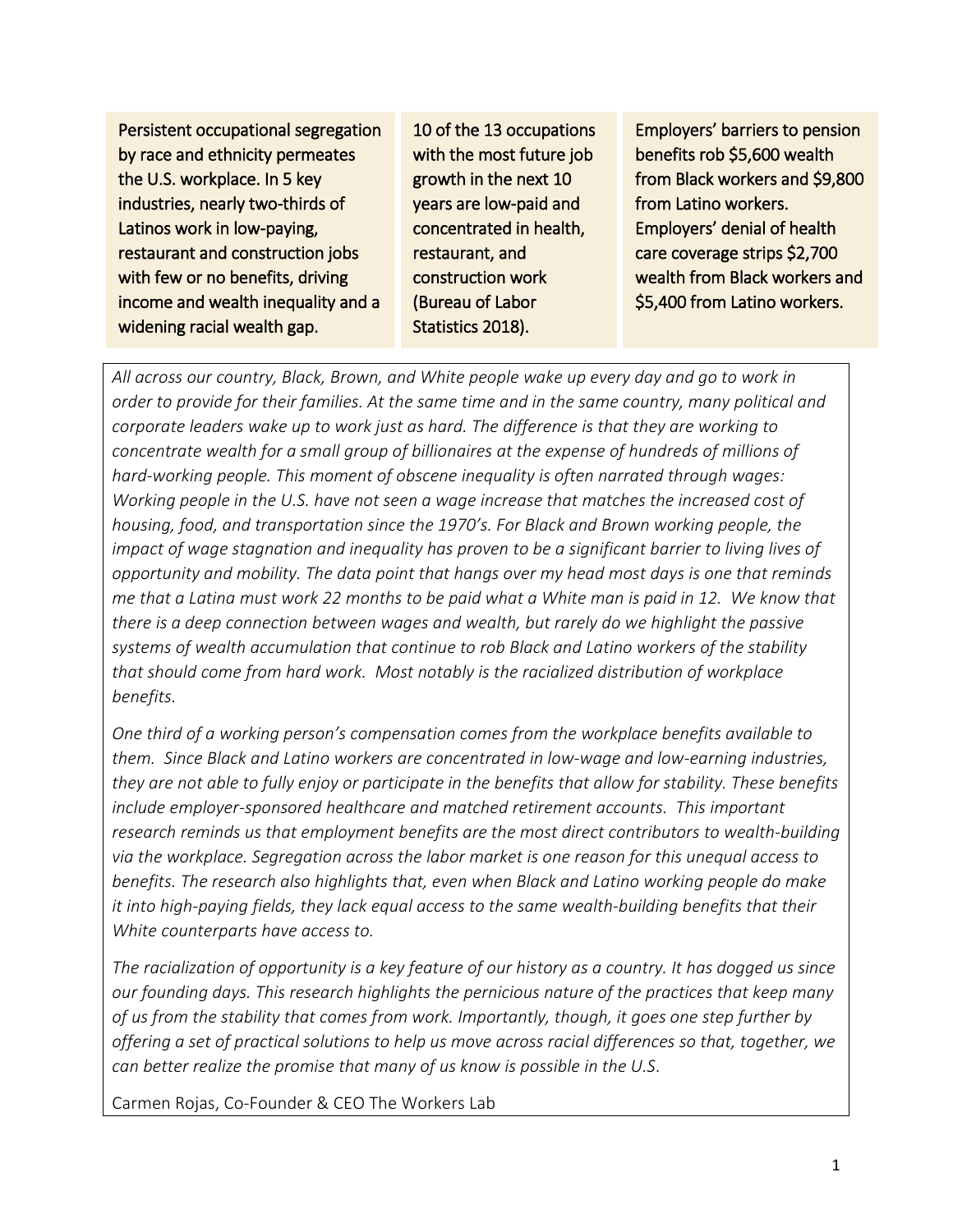Persistent occupational segregation by race and ethnicity permeates the U.S. workplace. In 5 key industries, nearly two-thirds of Latinos work in low-paying, restaurant and construction jobs with few or no benefits, driving income and wealth inequality and a widening racial wealth gap.

10 of the 13 occupations with the most future job growth in the next 10 years are low-paid and concentrated in health, restaurant, and construction work (Bureau of Labor Statistics 2018).

Employers' barriers to pension benefits rob \$5,600 wealth from Black workers and \$9,800 from Latino workers. Employers' denial of health care coverage strips \$2,700 wealth from Black workers and \$5,400 from Latino workers.

*All across our country, Black, Brown, and White people wake up every day and go to work in order to provide for their families. At the same time and in the same country, many political and corporate leaders wake up to work just as hard. The difference is that they are working to concentrate wealth for a small group of billionaires at the expense of hundreds of millions of hard-working people. This moment of obscene inequality is often narrated through wages: Working people in the U.S. have not seen a wage increase that matches the increased cost of housing, food, and transportation since the 1970's. For Black and Brown working people, the impact of wage stagnation and inequality has proven to be a significant barrier to living lives of opportunity and mobility. The data point that hangs over my head most days is one that reminds me that a Latina must work 22 months to be paid what a White man is paid in 12. We know that there is a deep connection between wages and wealth, but rarely do we highlight the passive systems of wealth accumulation that continue to rob Black and Latino workers of the stability that should come from hard work. Most notably is the racialized distribution of workplace benefits.* 

*One third of a working person's compensation comes from the workplace benefits available to them. Since Black and Latino workers are concentrated in low-wage and low-earning industries, they are not able to fully enjoy or participate in the benefits that allow for stability. These benefits include employer-sponsored healthcare and matched retirement accounts. This important research reminds us that employment benefits are the most direct contributors to wealth-building via the workplace. Segregation across the labor market is one reason for this unequal access to benefits. The research also highlights that, even when Black and Latino working people do make it into high-paying fields, they lack equal access to the same wealth-building benefits that their White counterparts have access to.* 

*The racialization of opportunity is a key feature of our history as a country. It has dogged us since our founding days. This research highlights the pernicious nature of the practices that keep many of us from the stability that comes from work. Importantly, though, it goes one step further by offering a set of practical solutions to help us move across racial differences so that, together, we can better realize the promise that many of us know is possible in the U.S*.

Carmen Rojas, Co-Founder & CEO The Workers Lab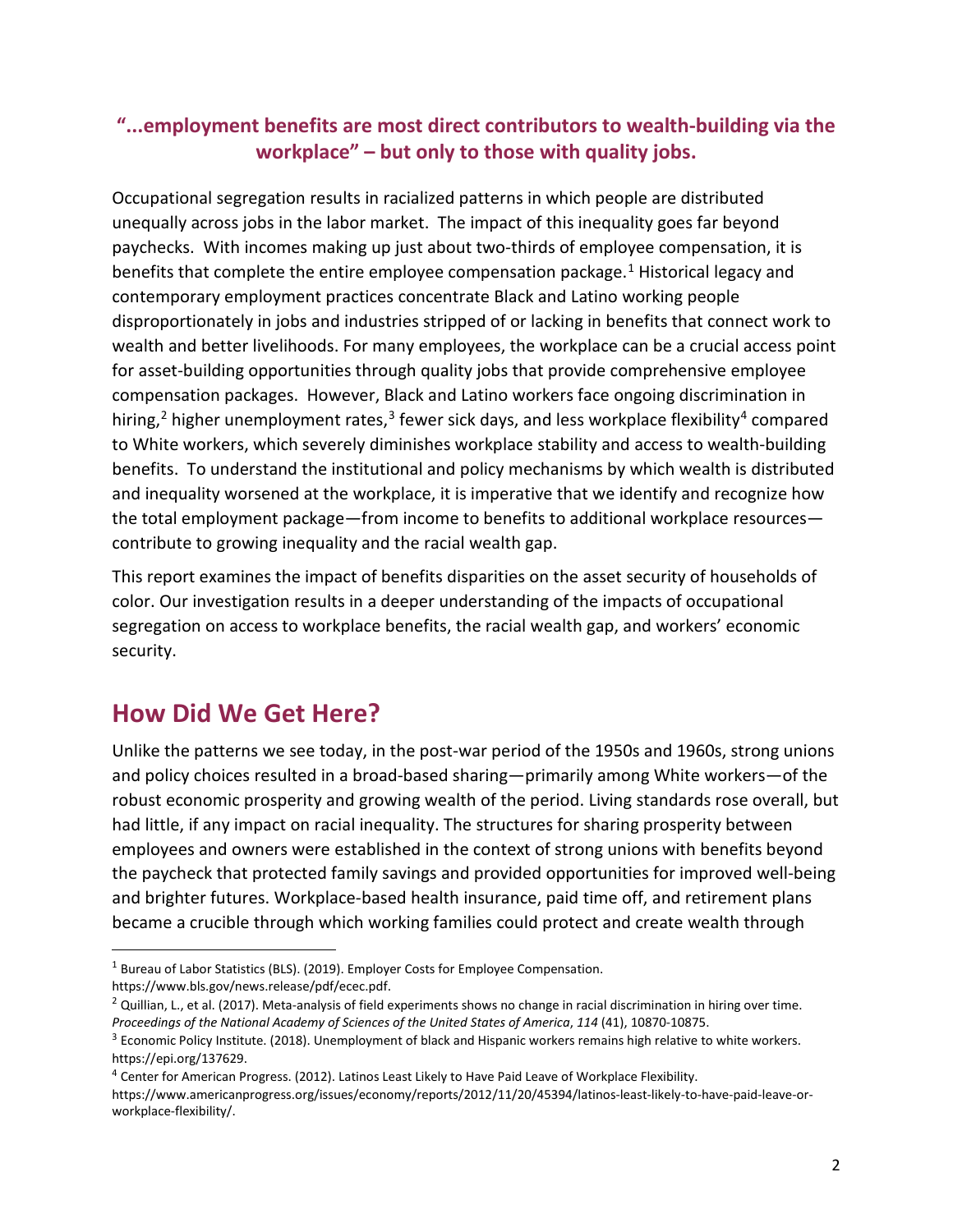### **"...employment benefits are most direct contributors to wealth-building via the workplace" – but only to those with quality jobs.**

Occupational segregation results in racialized patterns in which people are distributed unequally across jobs in the labor market. The impact of this inequality goes far beyond paychecks. With incomes making up just about two-thirds of employee compensation, it is benefits that complete the entire employee compensation package.<sup>[1](#page-3-0)</sup> Historical legacy and contemporary employment practices concentrate Black and Latino working people disproportionately in jobs and industries stripped of or lacking in benefits that connect work to wealth and better livelihoods. For many employees, the workplace can be a crucial access point for asset-building opportunities through quality jobs that provide comprehensive employee compensation packages. However, Black and Latino workers face ongoing discrimination in hiring,<sup>[2](#page-3-1)</sup> higher unemployment rates,<sup>3</sup> fewer sick days, and less workplace flexibility<sup>[4](#page-3-3)</sup> compared to White workers, which severely diminishes workplace stability and access to wealth-building benefits. To understand the institutional and policy mechanisms by which wealth is distributed and inequality worsened at the workplace, it is imperative that we identify and recognize how the total employment package—from income to benefits to additional workplace resources contribute to growing inequality and the racial wealth gap.

This report examines the impact of benefits disparities on the asset security of households of color. Our investigation results in a deeper understanding of the impacts of occupational segregation on access to workplace benefits, the racial wealth gap, and workers' economic security.

### **How Did We Get Here?**

 $\overline{\phantom{a}}$ 

Unlike the patterns we see today, in the post-war period of the 1950s and 1960s, strong unions and policy choices resulted in a broad-based sharing—primarily among White workers—of the robust economic prosperity and growing wealth of the period. Living standards rose overall, but had little, if any impact on racial inequality. The structures for sharing prosperity between employees and owners were established in the context of strong unions with benefits beyond the paycheck that protected family savings and provided opportunities for improved well-being and brighter futures. Workplace-based health insurance, paid time off, and retirement plans became a crucible through which working families could protect and create wealth through

<span id="page-3-0"></span><sup>&</sup>lt;sup>1</sup> Bureau of Labor Statistics (BLS). (2019). Employer Costs for Employee Compensation. https://www.bls.gov/news.release/pdf/ecec.pdf.

<span id="page-3-1"></span> $2$  Quillian, L., et al. (2017). Meta-analysis of field experiments shows no change in racial discrimination in hiring over time. *Proceedings of the National Academy of Sciences of the United States of America*, *114* (41), 10870-10875.

<span id="page-3-2"></span><sup>&</sup>lt;sup>3</sup> Economic Policy Institute. (2018). Unemployment of black and Hispanic workers remains high relative to white workers. https://epi.org/137629.

<span id="page-3-3"></span><sup>4</sup> Center for American Progress. (2012). Latinos Least Likely to Have Paid Leave of Workplace Flexibility.

https://www.americanprogress.org/issues/economy/reports/2012/11/20/45394/latinos-least-likely-to-have-paid-leave-orworkplace-flexibility/.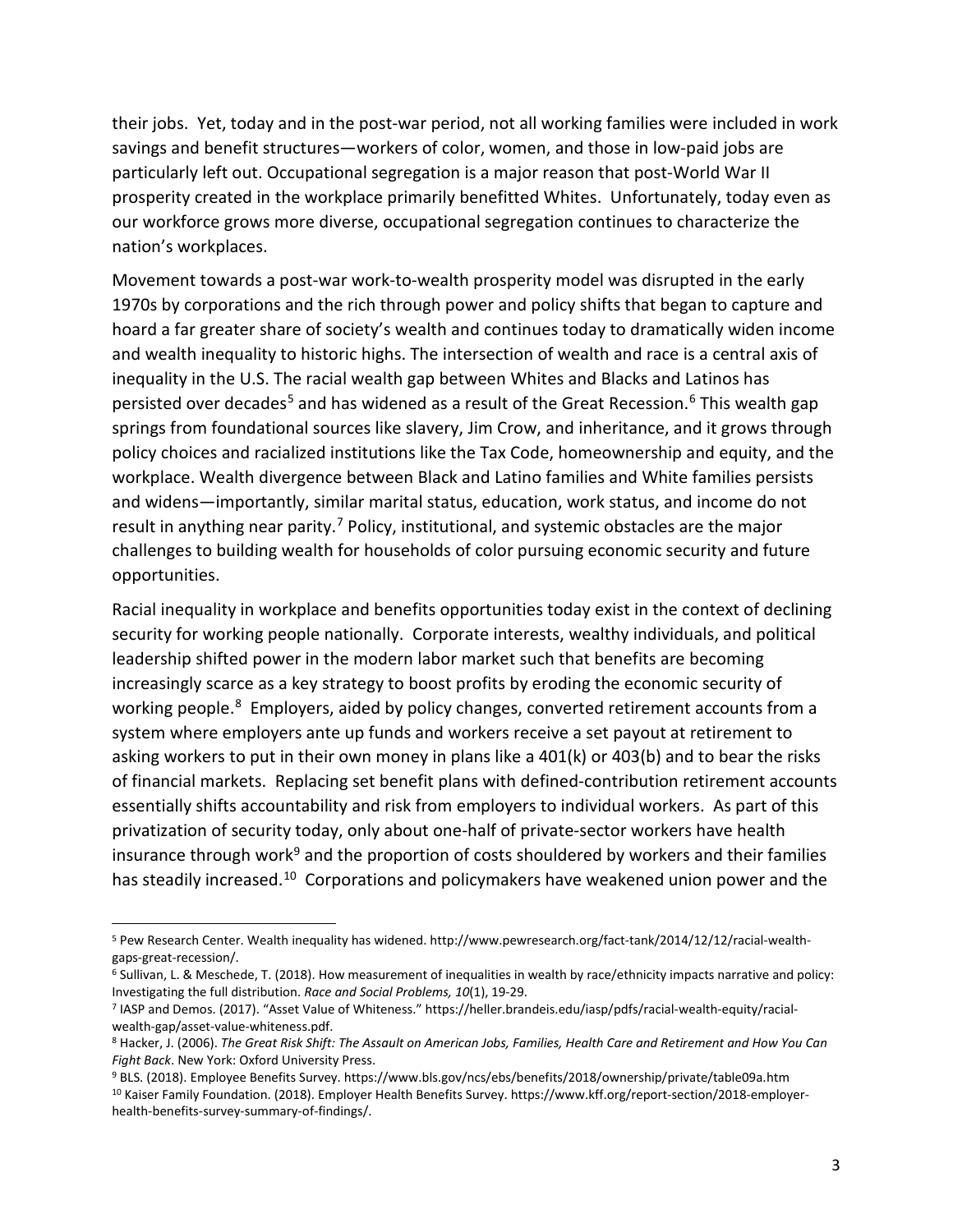their jobs. Yet, today and in the post-war period, not all working families were included in work savings and benefit structures—workers of color, women, and those in low-paid jobs are particularly left out. Occupational segregation is a major reason that post-World War II prosperity created in the workplace primarily benefitted Whites. Unfortunately, today even as our workforce grows more diverse, occupational segregation continues to characterize the nation's workplaces.

Movement towards a post-war work-to-wealth prosperity model was disrupted in the early 1970s by corporations and the rich through power and policy shifts that began to capture and hoard a far greater share of society's wealth and continues today to dramatically widen income and wealth inequality to historic highs. The intersection of wealth and race is a central axis of inequality in the U.S. The racial wealth gap between Whites and Blacks and Latinos has persisted over decades<sup>[5](#page-4-0)</sup> and has widened as a result of the Great Recession.<sup>[6](#page-4-1)</sup> This wealth gap springs from foundational sources like slavery, Jim Crow, and inheritance, and it grows through policy choices and racialized institutions like the Tax Code, homeownership and equity, and the workplace. Wealth divergence between Black and Latino families and White families persists and widens—importantly, similar marital status, education, work status, and income do not result in anything near parity.<sup>[7](#page-4-2)</sup> Policy, institutional, and systemic obstacles are the major challenges to building wealth for households of color pursuing economic security and future opportunities.

Racial inequality in workplace and benefits opportunities today exist in the context of declining security for working people nationally. Corporate interests, wealthy individuals, and political leadership shifted power in the modern labor market such that benefits are becoming increasingly scarce as a key strategy to boost profits by eroding the economic security of working people.<sup>[8](#page-4-3)</sup> Employers, aided by policy changes, converted retirement accounts from a system where employers ante up funds and workers receive a set payout at retirement to asking workers to put in their own money in plans like a 401(k) or 403(b) and to bear the risks of financial markets. Replacing set benefit plans with defined-contribution retirement accounts essentially shifts accountability and risk from employers to individual workers. As part of this privatization of security today, only about one-half of private-sector workers have health insurance through work<sup>[9](#page-4-4)</sup> and the proportion of costs shouldered by workers and their families has steadily increased.<sup>10</sup> Corporations and policymakers have weakened union power and the

 $\overline{\phantom{a}}$ 

<span id="page-4-0"></span><sup>&</sup>lt;sup>5</sup> Pew Research Center. Wealth inequality has widened. http://www.pewresearch.org/fact-tank/2014/12/12/racial-wealth-<br>gaps-great-recession/.

<span id="page-4-1"></span><sup>&</sup>lt;sup>6</sup> Sullivan, L. & Meschede, T. (2018). How measurement of inequalities in wealth by race/ethnicity impacts narrative and policy:<br>Investigating the full distribution. Race and Social Problems, 10(1), 19-29.

<span id="page-4-2"></span><sup>&</sup>lt;sup>7</sup> IASP and Demos. (2017). "Asset Value of Whiteness." https://heller.brandeis.edu/iasp/pdfs/racial-wealth-equity/racialwealth-gap/asset-value-whiteness.pdf.<br><sup>8</sup> Hacker, J. (2006). *The Great Risk Shift: The Assault on American Jobs, Families, Health Care and Retirement and How You Can* 

<span id="page-4-3"></span>Fight Back. New York: Oxford University Press.<br><sup>9</sup> BLS. (2018). Employee Benefits Survey. https://www.bls.gov/ncs/ebs/benefits/2018/ownership/private/table09a.htm

<span id="page-4-5"></span><span id="page-4-4"></span><sup>&</sup>lt;sup>10</sup> Kaiser Family Foundation. (2018). Employer Health Benefits Survey. https://www.kff.org/report-section/2018-employerhealth-benefits-survey-summary-of-findings/.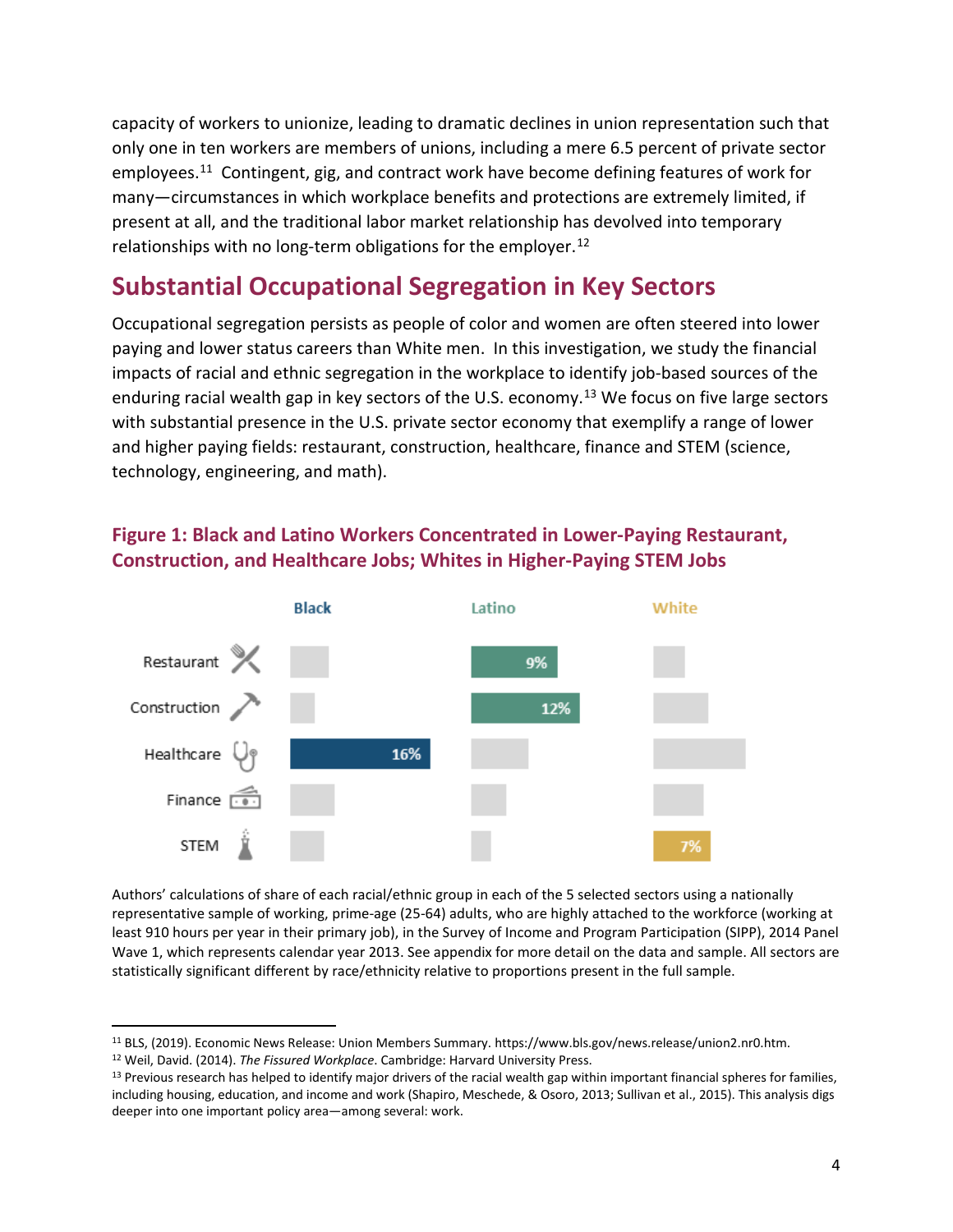capacity of workers to unionize, leading to dramatic declines in union representation such that only one in ten workers are members of unions, including a mere 6.5 percent of private sector employees.[11](#page-5-0) Contingent, gig, and contract work have become defining features of work for many—circumstances in which workplace benefits and protections are extremely limited, if present at all, and the traditional labor market relationship has devolved into temporary relationships with no long-term obligations for the employer.<sup>12</sup>

## **Substantial Occupational Segregation in Key Sectors**

Occupational segregation persists as people of color and women are often steered into lower paying and lower status careers than White men. In this investigation, we study the financial impacts of racial and ethnic segregation in the workplace to identify job-based sources of the enduring racial wealth gap in key sectors of the U.S. economy.<sup>[13](#page-5-2)</sup> We focus on five large sectors with substantial presence in the U.S. private sector economy that exemplify a range of lower and higher paying fields: restaurant, construction, healthcare, finance and STEM (science, technology, engineering, and math).

### **Figure 1: Black and Latino Workers Concentrated in Lower-Paying Restaurant, Construction, and Healthcare Jobs; Whites in Higher-Paying STEM Jobs**



Authors' calculations of share of each racial/ethnic group in each of the 5 selected sectors using a nationally representative sample of working, prime-age (25-64) adults, who are highly attached to the workforce (working at least 910 hours per year in their primary job), in the Survey of Income and Program Participation (SIPP), 2014 Panel Wave 1, which represents calendar year 2013. See appendix for more detail on the data and sample. All sectors are statistically significant different by race/ethnicity relative to proportions present in the full sample.

l

<span id="page-5-0"></span><sup>&</sup>lt;sup>11</sup> BLS, (2019). Economic News Release: Union Members Summary. https://www.bls.gov/news.release/union2.nr0.htm.<br><sup>12</sup> Weil, David. (2014). *The Fissured Workplace*. Cambridge: Harvard University Press.

<span id="page-5-1"></span>

<span id="page-5-2"></span><sup>&</sup>lt;sup>13</sup> Previous research has helped to identify major drivers of the racial wealth gap within important financial spheres for families, including housing, education, and income and work (Shapiro, Meschede, & Osoro, 2013; Sullivan et al., 2015). This analysis digs deeper into one important policy area—among several: work.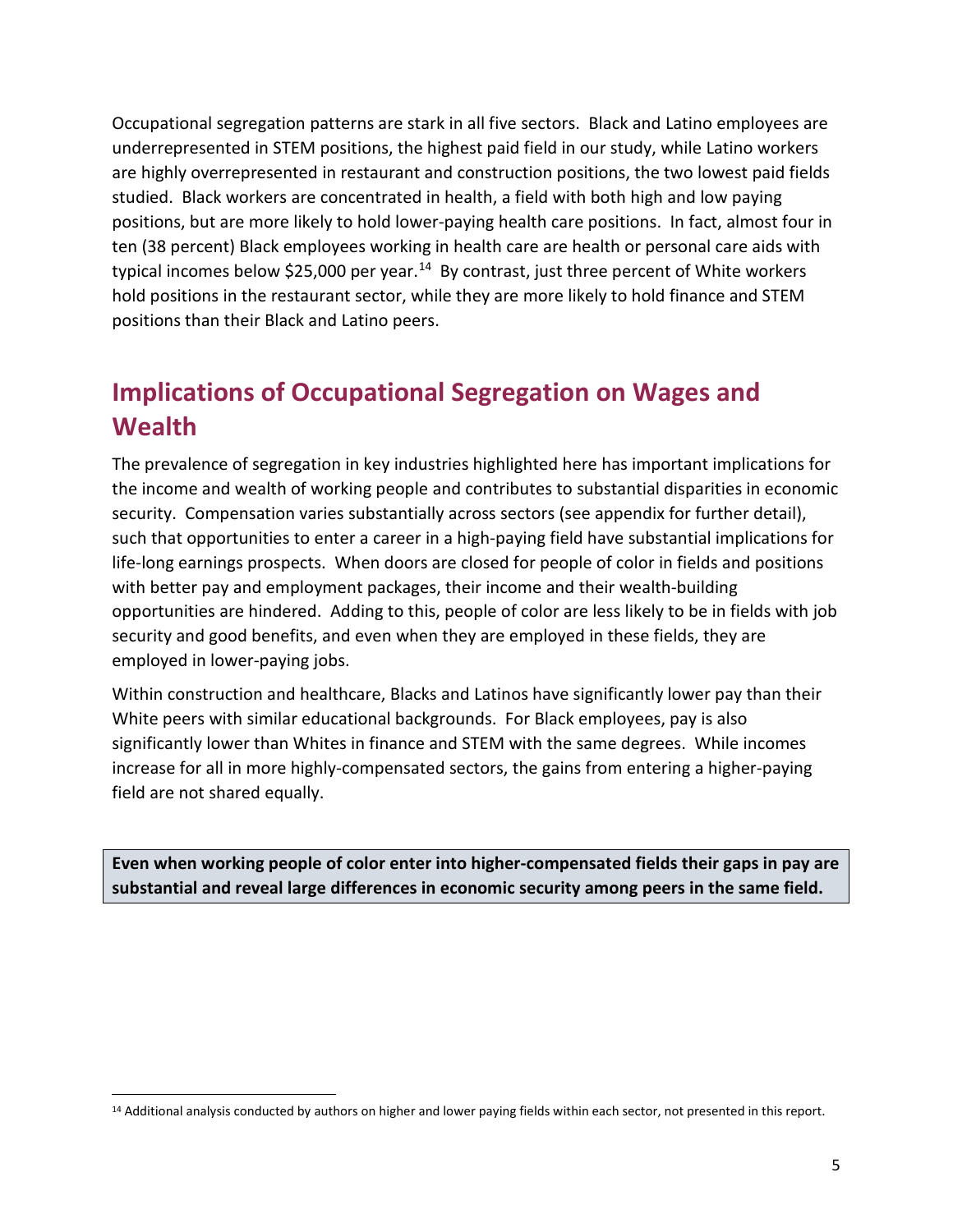Occupational segregation patterns are stark in all five sectors. Black and Latino employees are underrepresented in STEM positions, the highest paid field in our study, while Latino workers are highly overrepresented in restaurant and construction positions, the two lowest paid fields studied. Black workers are concentrated in health, a field with both high and low paying positions, but are more likely to hold lower-paying health care positions. In fact, almost four in ten (38 percent) Black employees working in health care are health or personal care aids with typical incomes below \$25,000 per year.<sup>[14](#page-6-0)</sup> By contrast, just three percent of White workers hold positions in the restaurant sector, while they are more likely to hold finance and STEM positions than their Black and Latino peers.

# **Implications of Occupational Segregation on Wages and Wealth**

The prevalence of segregation in key industries highlighted here has important implications for the income and wealth of working people and contributes to substantial disparities in economic security. Compensation varies substantially across sectors (see appendix for further detail), such that opportunities to enter a career in a high-paying field have substantial implications for life-long earnings prospects. When doors are closed for people of color in fields and positions with better pay and employment packages, their income and their wealth-building opportunities are hindered. Adding to this, people of color are less likely to be in fields with job security and good benefits, and even when they are employed in these fields, they are employed in lower-paying jobs.

Within construction and healthcare, Blacks and Latinos have significantly lower pay than their White peers with similar educational backgrounds. For Black employees, pay is also significantly lower than Whites in finance and STEM with the same degrees. While incomes increase for all in more highly-compensated sectors, the gains from entering a higher-paying field are not shared equally.

**Even when working people of color enter into higher-compensated fields their gaps in pay are substantial and reveal large differences in economic security among peers in the same field.** 

<span id="page-6-0"></span> $\overline{\phantom{a}}$ <sup>14</sup> Additional analysis conducted by authors on higher and lower paying fields within each sector, not presented in this report.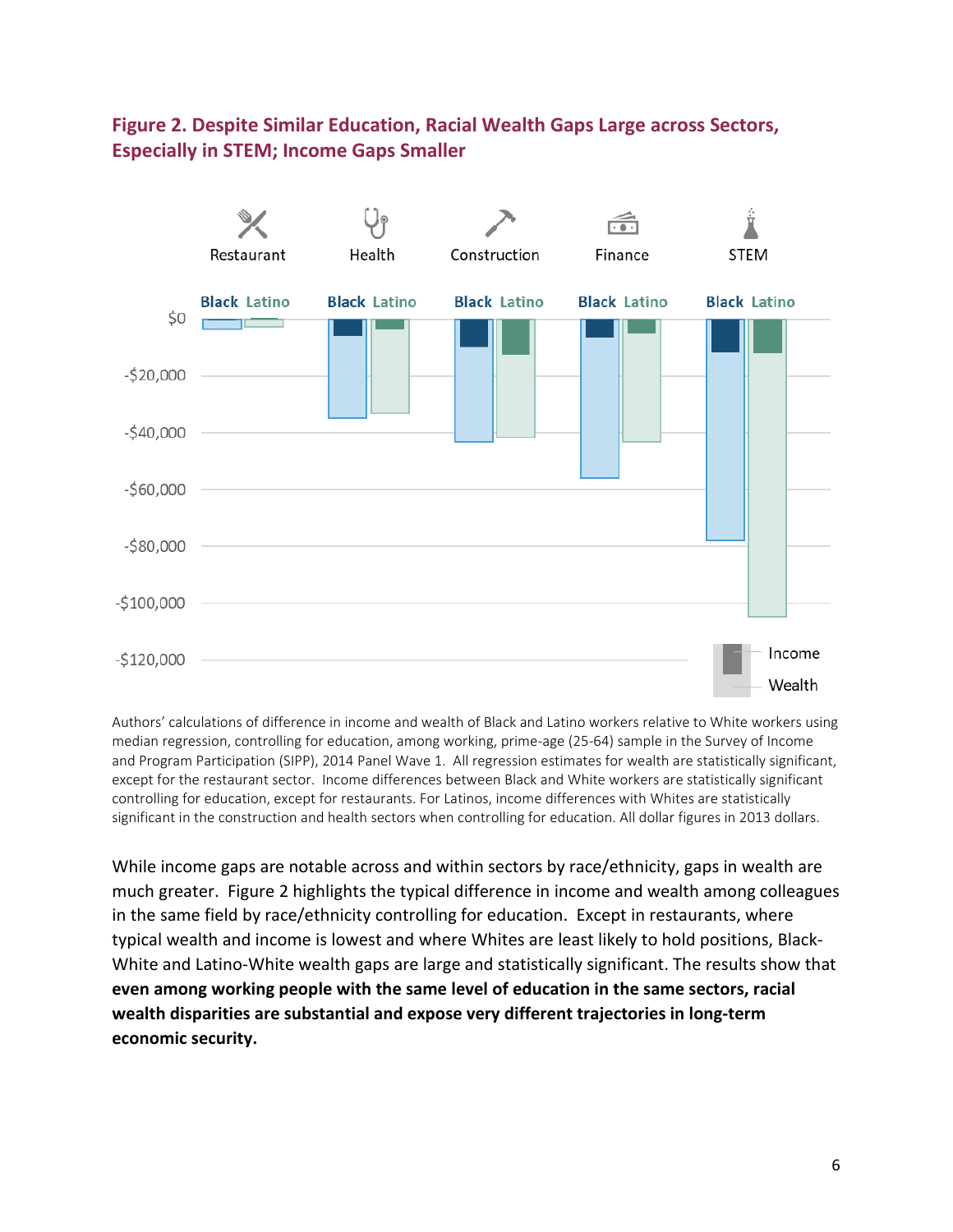### **Figure 2. Despite Similar Education, Racial Wealth Gaps Large across Sectors, Especially in STEM; Income Gaps Smaller**



Authors' calculations of difference in income and wealth of Black and Latino workers relative to White workers using median regression, controlling for education, among working, prime-age (25-64) sample in the Survey of Income and Program Participation (SIPP), 2014 Panel Wave 1. All regression estimates for wealth are statistically significant, except for the restaurant sector. Income differences between Black and White workers are statistically significant controlling for education, except for restaurants. For Latinos, income differences with Whites are statistically significant in the construction and health sectors when controlling for education. All dollar figures in 2013 dollars.

While income gaps are notable across and within sectors by race/ethnicity, gaps in wealth are much greater. Figure 2 highlights the typical difference in income and wealth among colleagues in the same field by race/ethnicity controlling for education. Except in restaurants, where typical wealth and income is lowest and where Whites are least likely to hold positions, Black-White and Latino-White wealth gaps are large and statistically significant. The results show that **even among working people with the same level of education in the same sectors, racial wealth disparities are substantial and expose very different trajectories in long-term economic security.**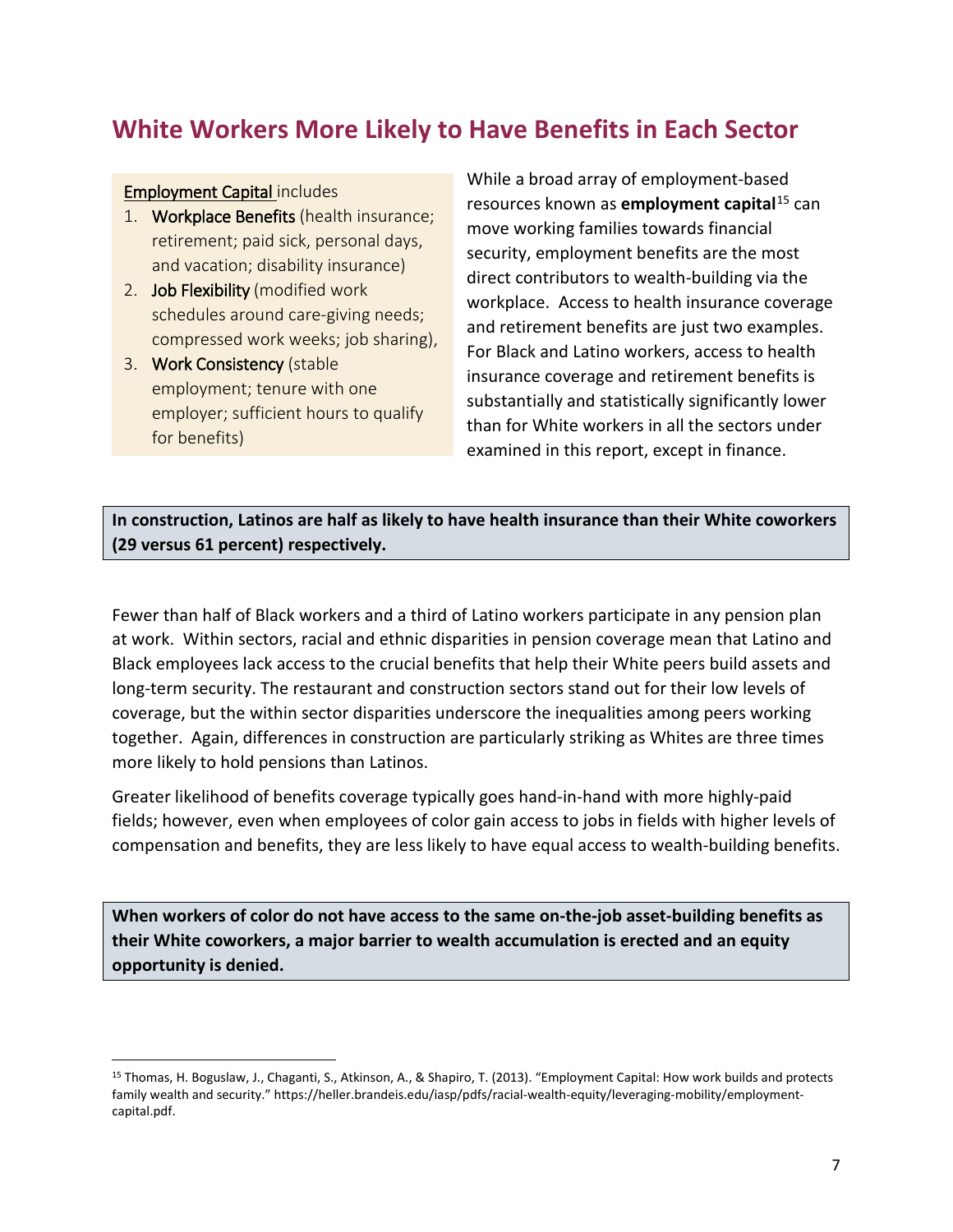## **White Workers More Likely to Have Benefits in Each Sector**

#### Employment Capital includes

 $\overline{\phantom{a}}$ 

- 1. Workplace Benefits (health insurance; retirement; paid sick, personal days, and vacation; disability insurance)
- 2. Job Flexibility (modified work schedules around care-giving needs; compressed work weeks; job sharing),
- 3. Work Consistency (stable employment; tenure with one employer; sufficient hours to qualify for benefits)

While a broad array of employment-based resources known as **employment capital**[15](#page-8-0) can move working families towards financial security, employment benefits are the most direct contributors to wealth-building via the workplace. Access to health insurance coverage and retirement benefits are just two examples. For Black and Latino workers, access to health insurance coverage and retirement benefits is substantially and statistically significantly lower than for White workers in all the sectors under examined in this report, except in finance.

**In construction, Latinos are half as likely to have health insurance than their White coworkers (29 versus 61 percent) respectively.**

Fewer than half of Black workers and a third of Latino workers participate in any pension plan at work. Within sectors, racial and ethnic disparities in pension coverage mean that Latino and Black employees lack access to the crucial benefits that help their White peers build assets and long-term security. The restaurant and construction sectors stand out for their low levels of coverage, but the within sector disparities underscore the inequalities among peers working together. Again, differences in construction are particularly striking as Whites are three times more likely to hold pensions than Latinos.

Greater likelihood of benefits coverage typically goes hand-in-hand with more highly-paid fields; however, even when employees of color gain access to jobs in fields with higher levels of compensation and benefits, they are less likely to have equal access to wealth-building benefits.

**When workers of color do not have access to the same on-the-job asset-building benefits as their White coworkers, a major barrier to wealth accumulation is erected and an equity opportunity is denied.** 

<span id="page-8-0"></span><sup>15</sup> Thomas, H. Boguslaw, J., Chaganti, S., Atkinson, A., & Shapiro, T. (2013). "Employment Capital: How work builds and protects family wealth and security." https://heller.brandeis.edu/iasp/pdfs/racial-wealth-equity/leveraging-mobility/employmentcapital.pdf.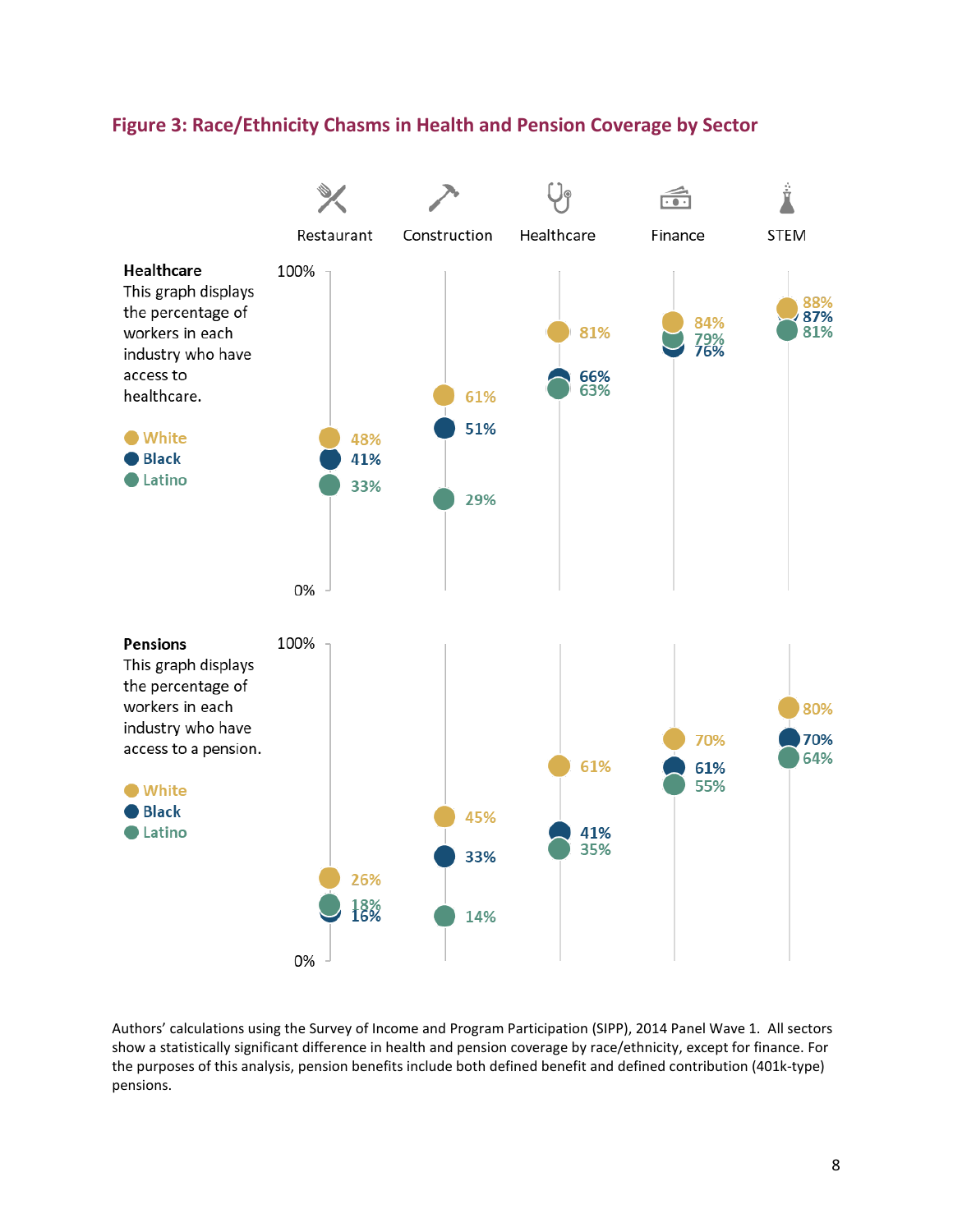### **Figure 3: Race/Ethnicity Chasms in Health and Pension Coverage by Sector**



Authors' calculations using the Survey of Income and Program Participation (SIPP), 2014 Panel Wave 1. All sectors show a statistically significant difference in health and pension coverage by race/ethnicity, except for finance. For the purposes of this analysis, pension benefits include both defined benefit and defined contribution (401k-type) pensions.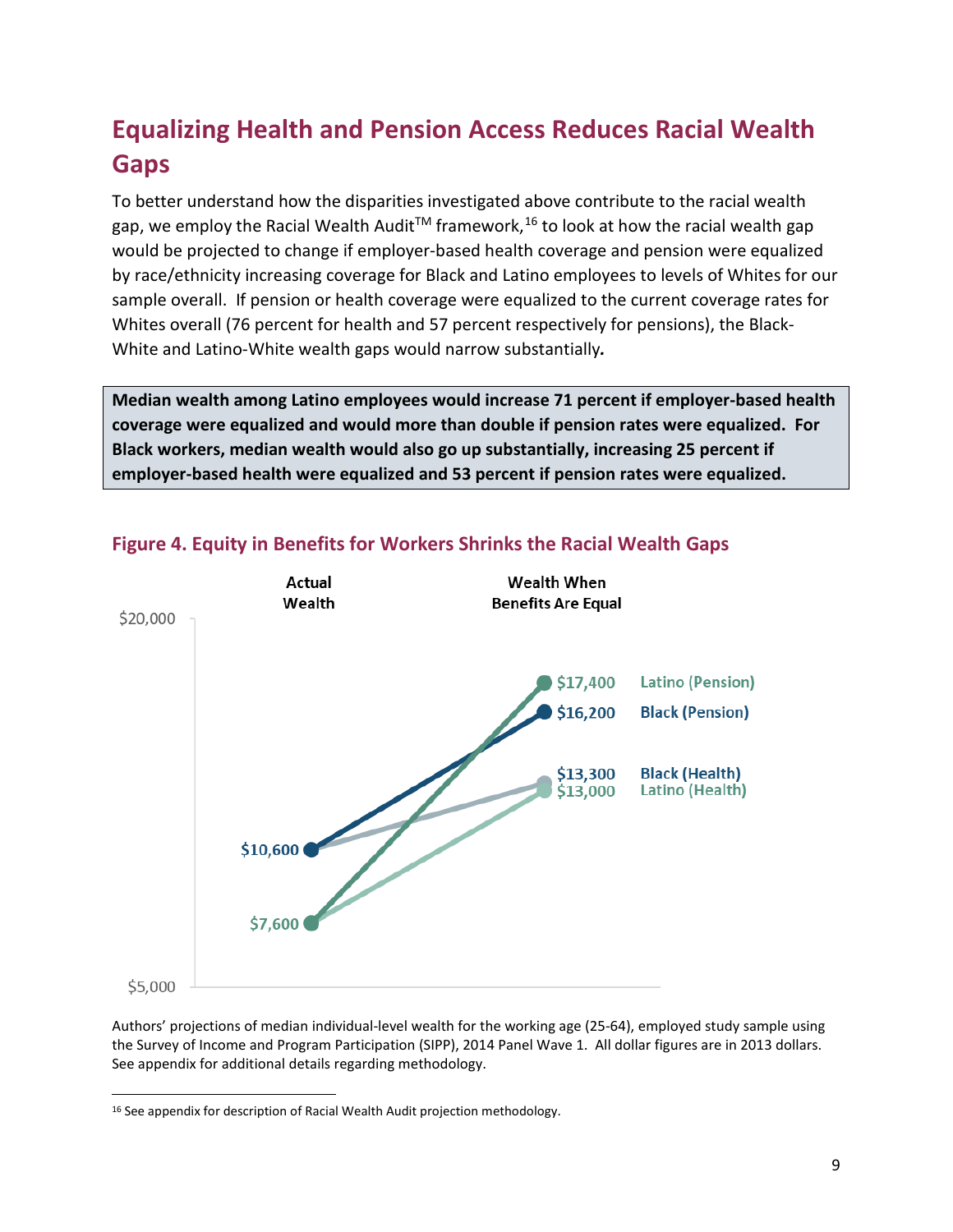# **Equalizing Health and Pension Access Reduces Racial Wealth Gaps**

To better understand how the disparities investigated above contribute to the racial wealth gap, we employ the Racial Wealth Audit™ framework,<sup>[16](#page-10-0)</sup> to look at how the racial wealth gap would be projected to change if employer-based health coverage and pension were equalized by race/ethnicity increasing coverage for Black and Latino employees to levels of Whites for our sample overall. If pension or health coverage were equalized to the current coverage rates for Whites overall (76 percent for health and 57 percent respectively for pensions), the Black-White and Latino-White wealth gaps would narrow substantially*.* 

**Median wealth among Latino employees would increase 71 percent if employer-based health coverage were equalized and would more than double if pension rates were equalized. For Black workers, median wealth would also go up substantially, increasing 25 percent if employer-based health were equalized and 53 percent if pension rates were equalized.**



### **Figure 4. Equity in Benefits for Workers Shrinks the Racial Wealth Gaps**

Authors' projections of median individual-level wealth for the working age (25-64), employed study sample using the Survey of Income and Program Participation (SIPP), 2014 Panel Wave 1. All dollar figures are in 2013 dollars. See appendix for additional details regarding methodology.

 $\overline{\phantom{a}}$ 

<span id="page-10-0"></span><sup>&</sup>lt;sup>16</sup> See appendix for description of Racial Wealth Audit projection methodology.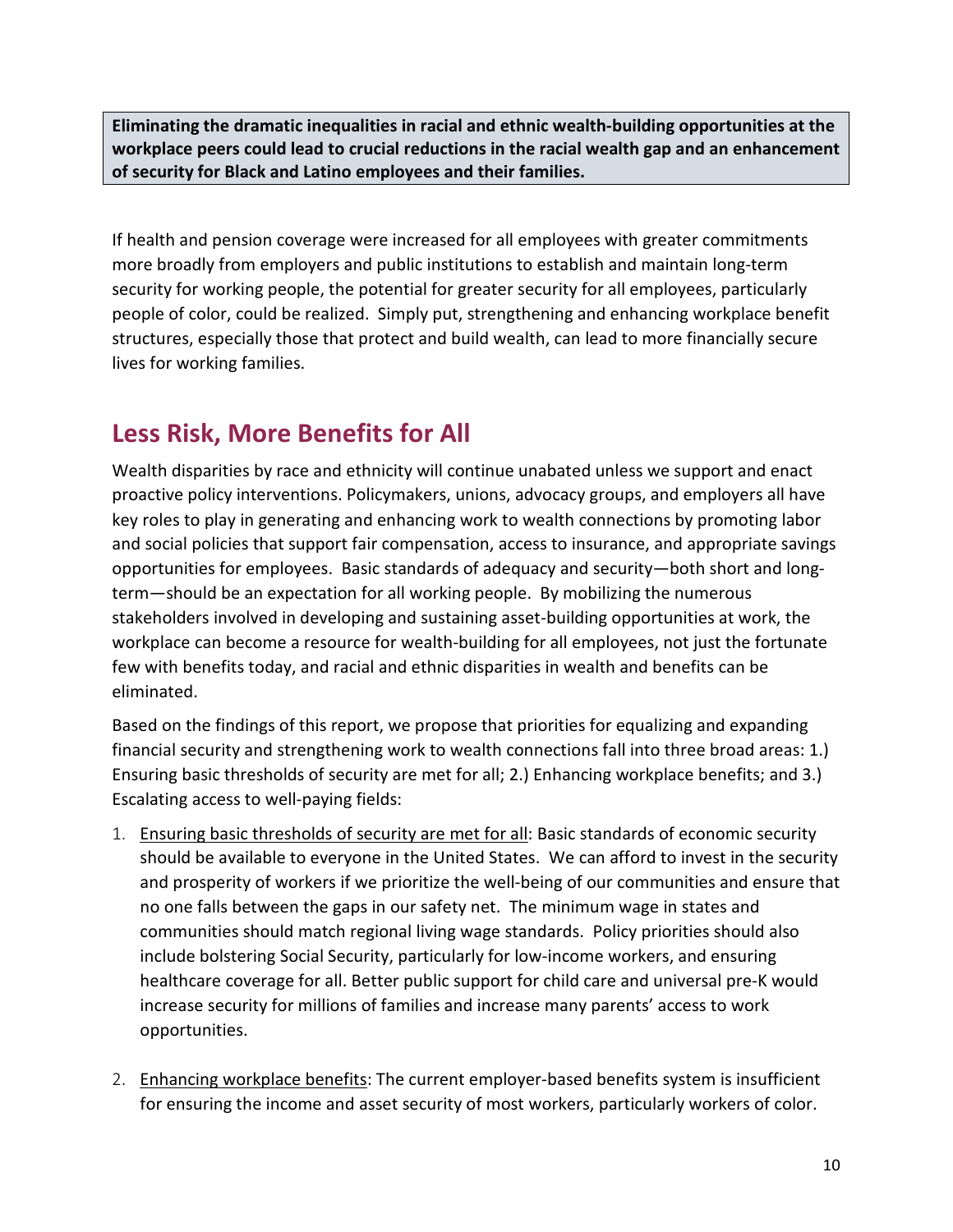**Eliminating the dramatic inequalities in racial and ethnic wealth-building opportunities at the workplace peers could lead to crucial reductions in the racial wealth gap and an enhancement of security for Black and Latino employees and their families.**

If health and pension coverage were increased for all employees with greater commitments more broadly from employers and public institutions to establish and maintain long-term security for working people, the potential for greater security for all employees, particularly people of color, could be realized. Simply put, strengthening and enhancing workplace benefit structures, especially those that protect and build wealth, can lead to more financially secure lives for working families.

## **Less Risk, More Benefits for All**

Wealth disparities by race and ethnicity will continue unabated unless we support and enact proactive policy interventions. Policymakers, unions, advocacy groups, and employers all have key roles to play in generating and enhancing work to wealth connections by promoting labor and social policies that support fair compensation, access to insurance, and appropriate savings opportunities for employees. Basic standards of adequacy and security—both short and longterm—should be an expectation for all working people. By mobilizing the numerous stakeholders involved in developing and sustaining asset-building opportunities at work, the workplace can become a resource for wealth-building for all employees, not just the fortunate few with benefits today, and racial and ethnic disparities in wealth and benefits can be eliminated.

Based on the findings of this report, we propose that priorities for equalizing and expanding financial security and strengthening work to wealth connections fall into three broad areas: 1.) Ensuring basic thresholds of security are met for all; 2.) Enhancing workplace benefits; and 3.) Escalating access to well-paying fields:

- 1. Ensuring basic thresholds of security are met for all: Basic standards of economic security should be available to everyone in the United States. We can afford to invest in the security and prosperity of workers if we prioritize the well-being of our communities and ensure that no one falls between the gaps in our safety net. The minimum wage in states and communities should match regional living wage standards. Policy priorities should also include bolstering Social Security, particularly for low-income workers, and ensuring healthcare coverage for all. Better public support for child care and universal pre-K would increase security for millions of families and increase many parents' access to work opportunities.
- 2. Enhancing workplace benefits: The current employer-based benefits system is insufficient for ensuring the income and asset security of most workers, particularly workers of color.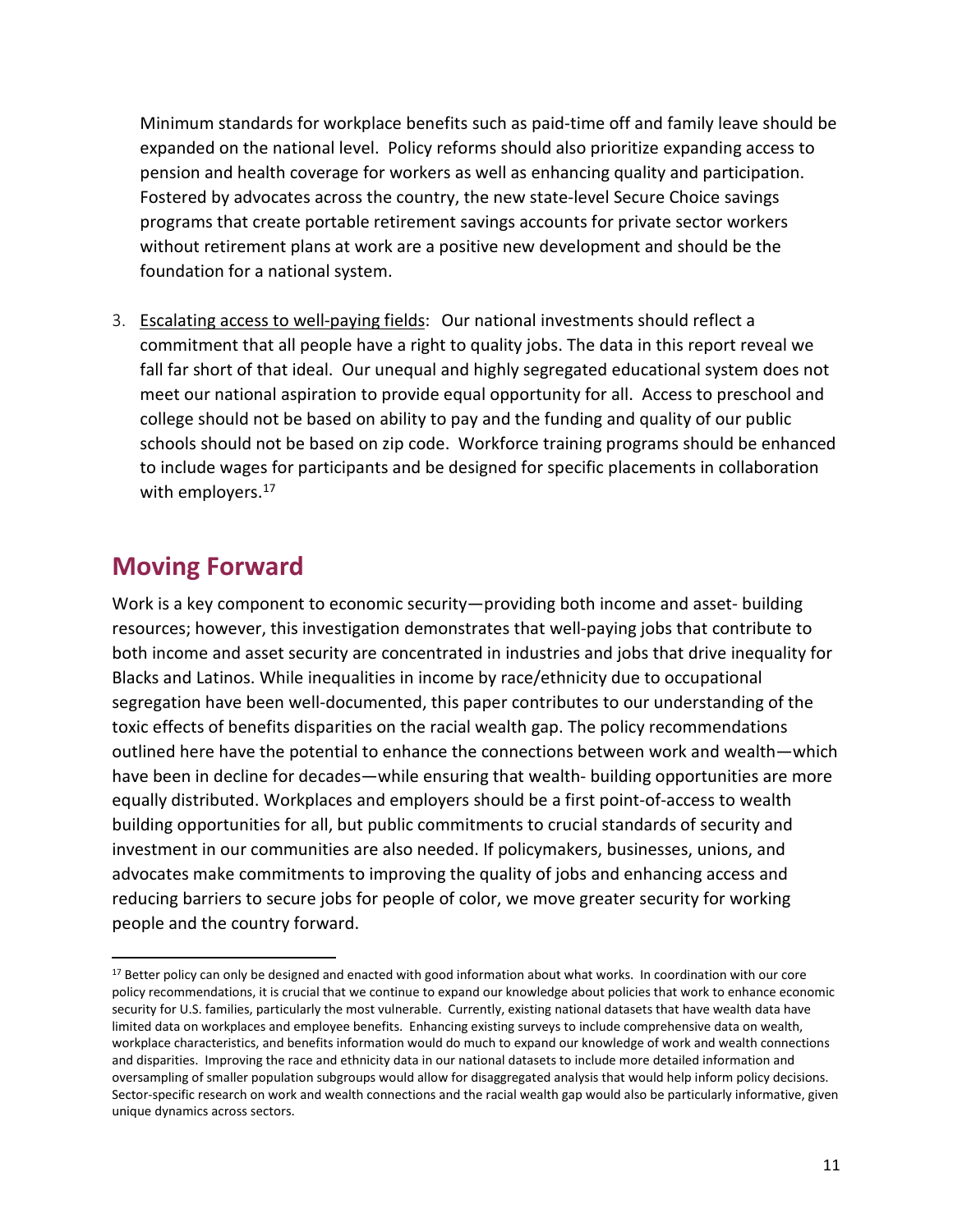Minimum standards for workplace benefits such as paid-time off and family leave should be expanded on the national level. Policy reforms should also prioritize expanding access to pension and health coverage for workers as well as enhancing quality and participation. Fostered by advocates across the country, the new state-level Secure Choice savings programs that create portable retirement savings accounts for private sector workers without retirement plans at work are a positive new development and should be the foundation for a national system.

3. Escalating access to well-paying fields: Our national investments should reflect a commitment that all people have a right to quality jobs. The data in this report reveal we fall far short of that ideal. Our unequal and highly segregated educational system does not meet our national aspiration to provide equal opportunity for all. Access to preschool and college should not be based on ability to pay and the funding and quality of our public schools should not be based on zip code. Workforce training programs should be enhanced to include wages for participants and be designed for specific placements in collaboration with employers.<sup>[17](#page-12-0)</sup>

### **Moving Forward**

l

Work is a key component to economic security—providing both income and asset- building resources; however, this investigation demonstrates that well-paying jobs that contribute to both income and asset security are concentrated in industries and jobs that drive inequality for Blacks and Latinos. While inequalities in income by race/ethnicity due to occupational segregation have been well-documented, this paper contributes to our understanding of the toxic effects of benefits disparities on the racial wealth gap. The policy recommendations outlined here have the potential to enhance the connections between work and wealth—which have been in decline for decades—while ensuring that wealth- building opportunities are more equally distributed. Workplaces and employers should be a first point-of-access to wealth building opportunities for all, but public commitments to crucial standards of security and investment in our communities are also needed. If policymakers, businesses, unions, and advocates make commitments to improving the quality of jobs and enhancing access and reducing barriers to secure jobs for people of color, we move greater security for working people and the country forward.

<span id="page-12-0"></span><sup>&</sup>lt;sup>17</sup> Better policy can only be designed and enacted with good information about what works. In coordination with our core policy recommendations, it is crucial that we continue to expand our knowledge about policies that work to enhance economic security for U.S. families, particularly the most vulnerable. Currently, existing national datasets that have wealth data have limited data on workplaces and employee benefits. Enhancing existing surveys to include comprehensive data on wealth, workplace characteristics, and benefits information would do much to expand our knowledge of work and wealth connections and disparities. Improving the race and ethnicity data in our national datasets to include more detailed information and oversampling of smaller population subgroups would allow for disaggregated analysis that would help inform policy decisions. Sector-specific research on work and wealth connections and the racial wealth gap would also be particularly informative, given unique dynamics across sectors.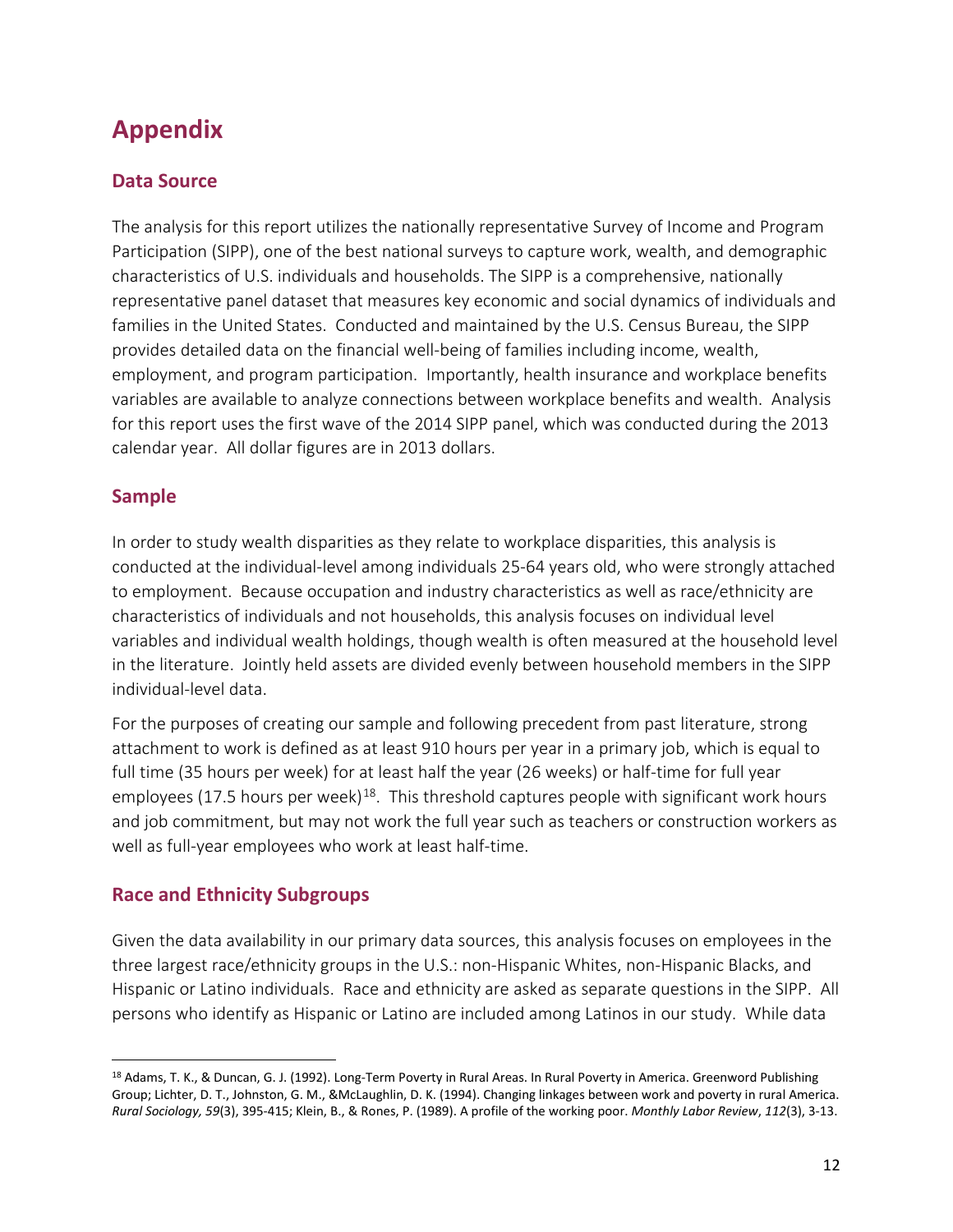# **Appendix**

### **Data Source**

The analysis for this report utilizes the nationally representative Survey of Income and Program Participation (SIPP), one of the best national surveys to capture work, wealth, and demographic characteristics of U.S. individuals and households. The SIPP is a comprehensive, nationally representative panel dataset that measures key economic and social dynamics of individuals and families in the United States. Conducted and maintained by the U.S. Census Bureau, the SIPP provides detailed data on the financial well-being of families including income, wealth, employment, and program participation. Importantly, health insurance and workplace benefits variables are available to analyze connections between workplace benefits and wealth. Analysis for this report uses the first wave of the 2014 SIPP panel, which was conducted during the 2013 calendar year. All dollar figures are in 2013 dollars.

### **Sample**

 $\overline{\phantom{a}}$ 

In order to study wealth disparities as they relate to workplace disparities, this analysis is conducted at the individual-level among individuals 25-64 years old, who were strongly attached to employment. Because occupation and industry characteristics as well as race/ethnicity are characteristics of individuals and not households, this analysis focuses on individual level variables and individual wealth holdings, though wealth is often measured at the household level in the literature. Jointly held assets are divided evenly between household members in the SIPP individual-level data.

For the purposes of creating our sample and following precedent from past literature, strong attachment to work is defined as at least 910 hours per year in a primary job, which is equal to full time (35 hours per week) for at least half the year (26 weeks) or half-time for full year employees (17.5 hours per week)<sup>18</sup>. This threshold captures people with significant work hours and job commitment, but may not work the full year such as teachers or construction workers as well as full-year employees who work at least half-time.

### **Race and Ethnicity Subgroups**

Given the data availability in our primary data sources, this analysis focuses on employees in the three largest race/ethnicity groups in the U.S.: non-Hispanic Whites, non-Hispanic Blacks, and Hispanic or Latino individuals. Race and ethnicity are asked as separate questions in the SIPP. All persons who identify as Hispanic or Latino are included among Latinos in our study. While data

<span id="page-13-0"></span><sup>&</sup>lt;sup>18</sup> Adams, T. K., & Duncan, G. J. (1992). Long-Term Poverty in Rural Areas. In Rural Poverty in America. Greenword Publishing Group; Lichter, D. T., Johnston, G. M., &McLaughlin, D. K. (1994). Changing linkages between work and poverty in rural America. *Rural Sociology, 59*(3), 395-415; Klein, B., & Rones, P. (1989). A profile of the working poor. *Monthly Labor Review*, *112*(3), 3-13.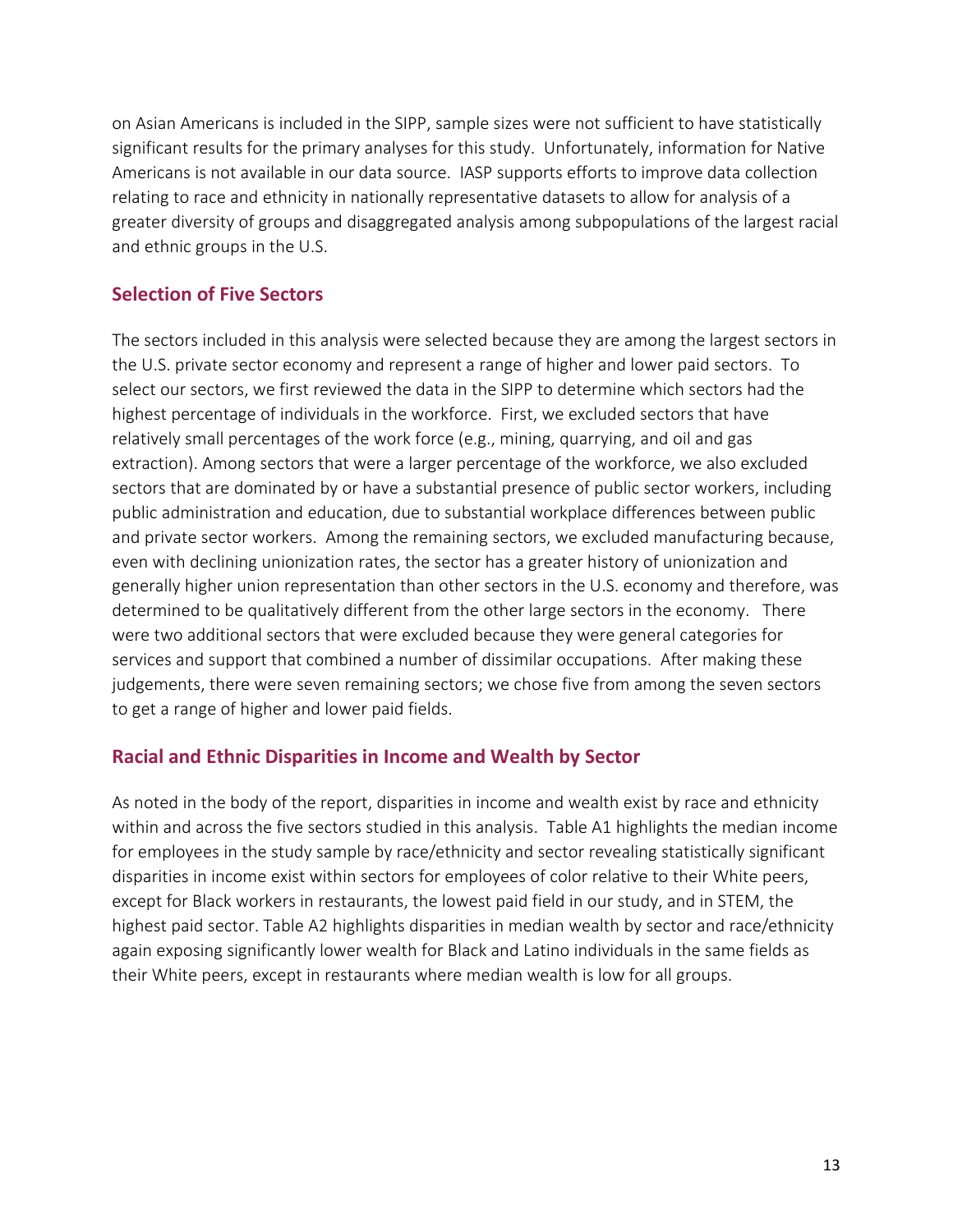on Asian Americans is included in the SIPP, sample sizes were not sufficient to have statistically significant results for the primary analyses for this study. Unfortunately, information for Native Americans is not available in our data source. IASP supports efforts to improve data collection relating to race and ethnicity in nationally representative datasets to allow for analysis of a greater diversity of groups and disaggregated analysis among subpopulations of the largest racial and ethnic groups in the U.S.

### **Selection of Five Sectors**

The sectors included in this analysis were selected because they are among the largest sectors in the U.S. private sector economy and represent a range of higher and lower paid sectors. To select our sectors, we first reviewed the data in the SIPP to determine which sectors had the highest percentage of individuals in the workforce. First, we excluded sectors that have relatively small percentages of the work force (e.g., mining, quarrying, and oil and gas extraction). Among sectors that were a larger percentage of the workforce, we also excluded sectors that are dominated by or have a substantial presence of public sector workers, including public administration and education, due to substantial workplace differences between public and private sector workers. Among the remaining sectors, we excluded manufacturing because, even with declining unionization rates, the sector has a greater history of unionization and generally higher union representation than other sectors in the U.S. economy and therefore, was determined to be qualitatively different from the other large sectors in the economy. There were two additional sectors that were excluded because they were general categories for services and support that combined a number of dissimilar occupations. After making these judgements, there were seven remaining sectors; we chose five from among the seven sectors to get a range of higher and lower paid fields.

### **Racial and Ethnic Disparities in Income and Wealth by Sector**

As noted in the body of the report, disparities in income and wealth exist by race and ethnicity within and across the five sectors studied in this analysis. Table A1 highlights the median income for employees in the study sample by race/ethnicity and sector revealing statistically significant disparities in income exist within sectors for employees of color relative to their White peers, except for Black workers in restaurants, the lowest paid field in our study, and in STEM, the highest paid sector. Table A2 highlights disparities in median wealth by sector and race/ethnicity again exposing significantly lower wealth for Black and Latino individuals in the same fields as their White peers, except in restaurants where median wealth is low for all groups.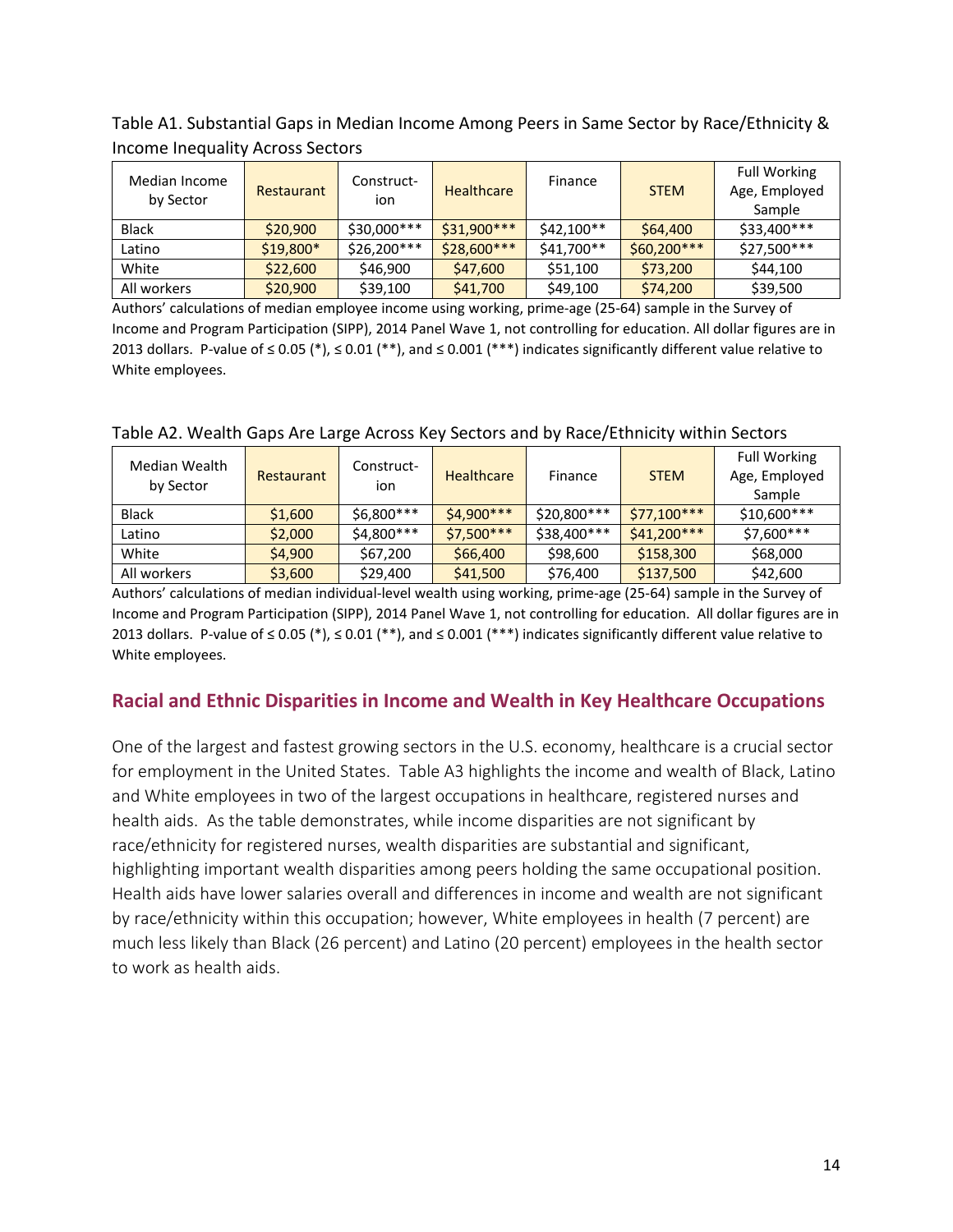| Median Income<br>by Sector | Restaurant | Construct-<br>ion | <b>Healthcare</b> | Finance    | <b>STEM</b>  | <b>Full Working</b><br>Age, Employed<br>Sample |
|----------------------------|------------|-------------------|-------------------|------------|--------------|------------------------------------------------|
| <b>Black</b>               | \$20,900   | \$30,000***       | $$31,900***$      | \$42.100** | \$64,400     | \$33,400***                                    |
| Latino                     | $$19,800*$ | $$26,200***$      | $$28,600***$      | \$41,700** | $$60,200***$ | \$27,500***                                    |
| White                      | \$22,600   | \$46,900          | \$47,600          | \$51,100   | \$73,200     | \$44,100                                       |
| All workers                | \$20,900   | \$39,100          | \$41,700          | \$49,100   | \$74,200     | \$39,500                                       |

Table A1. Substantial Gaps in Median Income Among Peers in Same Sector by Race/Ethnicity & Income Inequality Across Sectors

Authors' calculations of median employee income using working, prime-age (25-64) sample in the Survey of Income and Program Participation (SIPP), 2014 Panel Wave 1, not controlling for education. All dollar figures are in 2013 dollars. P-value of ≤ 0.05 (\*), ≤ 0.01 (\*\*), and ≤ 0.001 (\*\*\*) indicates significantly different value relative to White employees.

| Median Wealth<br>by Sector | <b>Restaurant</b> | Construct-<br>ion | <b>Healthcare</b> | Finance     | <b>STEM</b>  | <b>Full Working</b><br>Age, Employed<br>Sample |
|----------------------------|-------------------|-------------------|-------------------|-------------|--------------|------------------------------------------------|
| <b>Black</b>               | \$1,600           | \$6,800***        | $$4,900***$       | \$20,800*** | $$77.100***$ | \$10,600***                                    |
| Latino                     | \$2,000           | \$4,800***        | $$7,500***$       | \$38,400*** | $$41,200***$ | \$7,600***                                     |
| White                      | \$4,900           | \$67,200          | \$66,400          | \$98,600    | \$158,300    | \$68,000                                       |
| All workers                | \$3,600           | \$29,400          | \$41,500          | \$76,400    | \$137,500    | \$42,600                                       |

Table A2. Wealth Gaps Are Large Across Key Sectors and by Race/Ethnicity within Sectors

Authors' calculations of median individual-level wealth using working, prime-age (25-64) sample in the Survey of Income and Program Participation (SIPP), 2014 Panel Wave 1, not controlling for education. All dollar figures are in 2013 dollars. P-value of ≤ 0.05 (\*), ≤ 0.01 (\*\*), and ≤ 0.001 (\*\*\*) indicates significantly different value relative to White employees.

### **Racial and Ethnic Disparities in Income and Wealth in Key Healthcare Occupations**

One of the largest and fastest growing sectors in the U.S. economy, healthcare is a crucial sector for employment in the United States. Table A3 highlights the income and wealth of Black, Latino and White employees in two of the largest occupations in healthcare, registered nurses and health aids. As the table demonstrates, while income disparities are not significant by race/ethnicity for registered nurses, wealth disparities are substantial and significant, highlighting important wealth disparities among peers holding the same occupational position. Health aids have lower salaries overall and differences in income and wealth are not significant by race/ethnicity within this occupation; however, White employees in health (7 percent) are much less likely than Black (26 percent) and Latino (20 percent) employees in the health sector to work as health aids.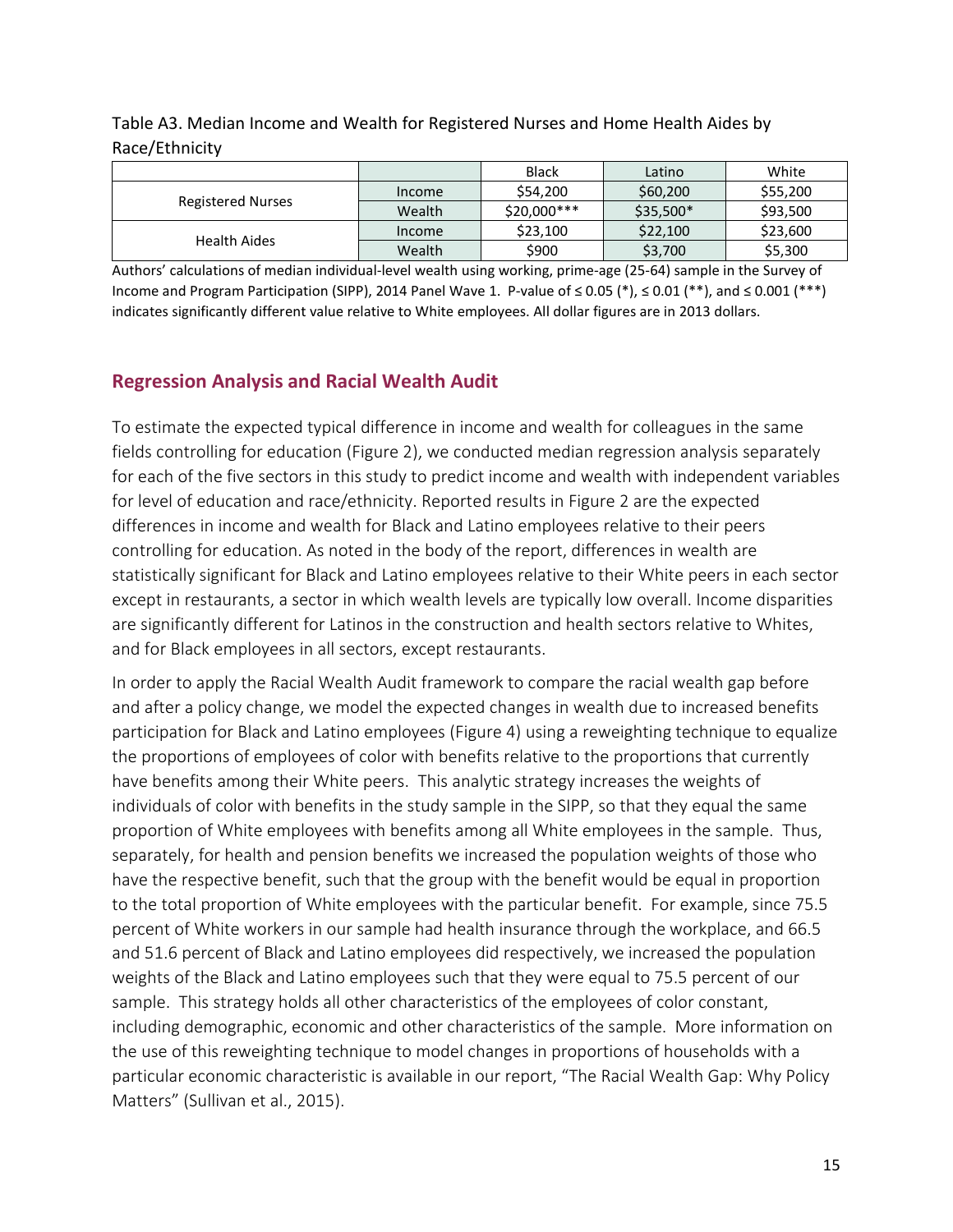|                          |               | <b>Black</b> | Latino     | White    |  |  |
|--------------------------|---------------|--------------|------------|----------|--|--|
|                          | <i>Income</i> | \$54,200     | \$60,200   | \$55,200 |  |  |
| <b>Registered Nurses</b> | Wealth        | $$20.000***$ | $$35,500*$ | \$93,500 |  |  |
| Health Aides             | Income        | \$23,100     | \$22,100   | \$23,600 |  |  |
|                          | Wealth        | \$900        | \$3,700    | \$5,300  |  |  |

Table A3. Median Income and Wealth for Registered Nurses and Home Health Aides by Race/Ethnicity

Authors' calculations of median individual-level wealth using working, prime-age (25-64) sample in the Survey of Income and Program Participation (SIPP), 2014 Panel Wave 1. P-value of ≤ 0.05 (\*), ≤ 0.01 (\*\*), and ≤ 0.001 (\*\*\*) indicates significantly different value relative to White employees. All dollar figures are in 2013 dollars.

### **Regression Analysis and Racial Wealth Audit**

To estimate the expected typical difference in income and wealth for colleagues in the same fields controlling for education (Figure 2), we conducted median regression analysis separately for each of the five sectors in this study to predict income and wealth with independent variables for level of education and race/ethnicity. Reported results in Figure 2 are the expected differences in income and wealth for Black and Latino employees relative to their peers controlling for education. As noted in the body of the report, differences in wealth are statistically significant for Black and Latino employees relative to their White peers in each sector except in restaurants, a sector in which wealth levels are typically low overall. Income disparities are significantly different for Latinos in the construction and health sectors relative to Whites, and for Black employees in all sectors, except restaurants.

In order to apply the Racial Wealth Audit framework to compare the racial wealth gap before and after a policy change, we model the expected changes in wealth due to increased benefits participation for Black and Latino employees (Figure 4) using a reweighting technique to equalize the proportions of employees of color with benefits relative to the proportions that currently have benefits among their White peers. This analytic strategy increases the weights of individuals of color with benefits in the study sample in the SIPP, so that they equal the same proportion of White employees with benefits among all White employees in the sample. Thus, separately, for health and pension benefits we increased the population weights of those who have the respective benefit, such that the group with the benefit would be equal in proportion to the total proportion of White employees with the particular benefit. For example, since 75.5 percent of White workers in our sample had health insurance through the workplace, and 66.5 and 51.6 percent of Black and Latino employees did respectively, we increased the population weights of the Black and Latino employees such that they were equal to 75.5 percent of our sample. This strategy holds all other characteristics of the employees of color constant, including demographic, economic and other characteristics of the sample. More information on the use of this reweighting technique to model changes in proportions of households with a particular economic characteristic is available in our report, "The Racial Wealth Gap: Why Policy Matters" (Sullivan et al., 2015).